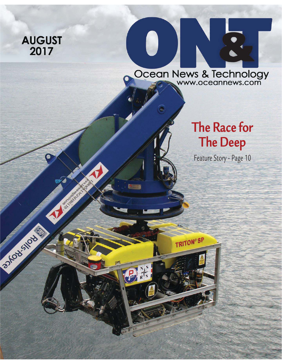### **AUGUST** 2017

**CONSTRUCTION OF REAL PROPERTY.** 

33-10 city duty

Ocean News & Technology

TRITON®SP

 $\bigcirc$ 

## **The Race for The Deep**

Feature Story - Page 10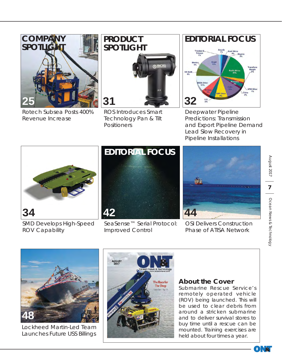

Rotech Subsea Posts 400% Revenue Increase

# **PRODUCT SPOTLIGHT**



Technology Pan & Tilt **Positioners** 

## **EDITORIAL FOCUS**Brazi<br>13% us Gi **32**

Deepwater Pipeline Predictions: Transmission and Export Pipeline Demand Lead Slow Recovery in Pipeline Installations



SMD Develops High-Speed ROV Capability



SeaSense™ Serial Protocol: Improved Control



OSI Delivers Construction Phase of ATISA Network



Lockheed Martin-Led Team Launches Future USS Billings



#### **About the Cover**

*Submarine Rescue Service's remotely operated vehicle (ROV) being launched. This will be used to clear debris from around a stricken submarine and to deliver survival stores to buy time until a rescue can be mounted. Training exercises are held about four times a year.*

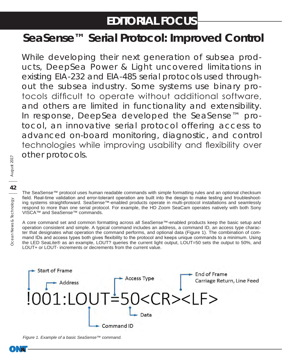## **EDITORIAL FOCUS**

## **SeaSense™ Serial Protocol: Improved Control**

While developing their next generation of subsea products, DeepSea Power & Light uncovered limitations in existing EIA-232 and EIA-485 serial protocols used throughout the subsea industry. Some systems use binary protocols difficult to operate without additional software, and others are limited in functionality and extensibility. In response, DeepSea developed the SeaSense™ protocol, an innovative serial protocol offering access to advanced on-board monitoring, diagnostic, and control technologies while improving usability and flexibility over other protocols.

The SeaSense™ protocol uses human readable commands with simple formatting rules and an optional checksum field. Real-time validation and error-tolerant operation are built into the design to make testing and troubleshooting systems straightforward. SeaSense™-enabled products operate in multi-protocol installations and seamlessly respond to more than one serial protocol. For example, the HD Zoom SeaCam operates natively with both Sony VISCA™ and SeaSense™ commands.

A core command set and common formatting across all SeaSense™-enabled products keep the basic setup and operation consistent and simple. A typical command includes an address, a command ID, an access type character that designates what operation the command performs, and optional data (Figure 1). The combination of command IDs and access types both gives flexibility to the protocol and keeps unique commands to a minimum. Using the LED SeaLite® as an example, LOUT? queries the current light output, LOUT=50 sets the output to 50%, and LOUT+ or LOUT- increments or decrements from the current value.



*Figure 1. Example of a basic SeaSense™ command.*